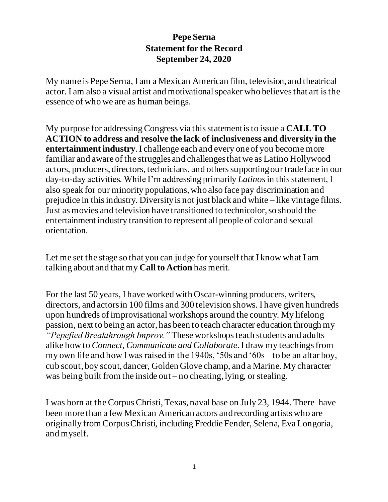## **Pepe Serna Statement for the Record September 24, 2020**

My name is Pepe Serna, I am a Mexican American film, television, and theatrical actor. I am also a visual artist and motivational speaker who believes that art is the essence of who we are as human beings.

My purpose for addressing Congress via this statement is to issue a **CALL TO ACTION to address and resolve the lack of inclusiveness and diversity in the entertainment industry**. I challenge each and every one of you become more familiar and aware of the struggles and challenges that we as Latino Hollywood actors, producers, directors, technicians, and others supporting our trade face in our day-to-day activities. While I'm addressing primarily *Latinos*in this statement, I also speak for our minority populations, who also face pay discrimination and prejudice in this industry. Diversity is not just black and white – like vintage films. Just as movies and television have transitioned to technicolor, so should the entertainment industry transition to represent all people of color and sexual orientation.

Let me set the stage so that you can judge for yourself that I know what I am talking about and that my **Call to Action** has merit.

For the last 50 years, I have worked with Oscar-winning producers, writers, directors, and actors in 100 films and 300 television shows. I have given hundreds upon hundreds of improvisational workshops around the country*.* My lifelong passion, next to being an actor, has been to teach character education through my *"Pepefied Breakthrough Improv."* These workshops teach students and adults alike how to *Connect, Communicate and Collaborate*. I draw my teachings from my own life and how I was raised in the 1940s, '50s and '60s – to be an altar boy, cub scout, boy scout, dancer, Golden Glove champ, and a Marine. My character was being built from the inside out – no cheating, lying, or stealing.

I was born at the Corpus Christi, Texas, naval base on July 23, 1944. There have been more than a few Mexican American actors and recording artists who are originally from Corpus Christi, including Freddie Fender, Selena, Eva Longoria, and myself.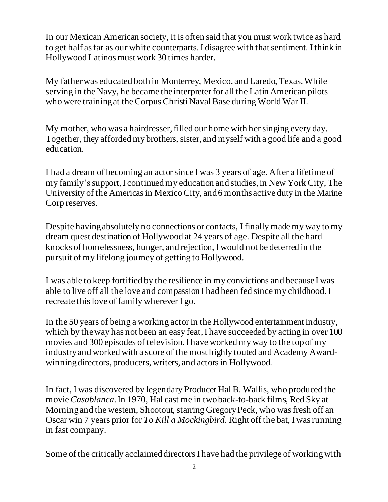In our Mexican American society, it is often said that you must work twice as hard to get half as far as our white counterparts. I disagree with that sentiment. I think in Hollywood Latinos must work 30 times harder.

My father was educated both in Monterrey, Mexico, and Laredo, Texas. While serving in the Navy, he became the interpreter for all the Latin American pilots who were training at the Corpus Christi Naval Base during World War II.

My mother, who was a hairdresser, filled our home with her singing every day. Together, they afforded my brothers, sister, and myself with a good life and a good education.

I had a dream of becoming an actor since I was 3 years of age. After a lifetime of my family's support, I continued my education and studies, in New York City, The University of the Americas in Mexico City, and 6 months active duty in the Marine Corp reserves.

Despite having absolutely no connections or contacts, I finally made my way to my dream quest destination of Hollywood at 24 years of age. Despite all the hard knocks of homelessness, hunger, and rejection, I would not be deterred in the pursuit of my lifelong journey of getting to Hollywood.

I was able to keep fortified by the resilience in my convictions and because I was able to live off all the love and compassion I had been fed since my childhood. I recreate this love of family wherever I go.

In the 50 years of being a working actor in the Hollywood entertainment industry, which by the way has not been an easy feat, I have succeeded by acting in over 100 movies and 300 episodes of television. I have worked my way to the top of my industry and worked with a score of the most highly touted and Academy Awardwinning directors, producers, writers, and actors in Hollywood.

In fact, I was discovered by legendary Producer Hal B. Wallis, who produced the movie *Casablanca*. In 1970, Hal cast me in two back-to-back films, Red Sky at Morning and the western, Shootout, starring Gregory Peck, who was fresh off an Oscar win 7 years prior for *To Kill a Mockingbird*. Right off the bat, I was running in fast company.

Some of the critically acclaimed directors I have had the privilege of workingwith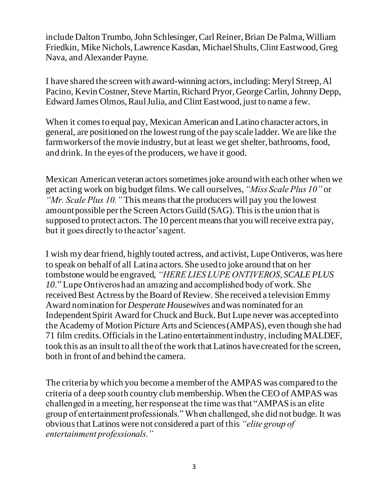include Dalton Trumbo, John Schlesinger, Carl Reiner, Brian De Palma, William Friedkin, Mike Nichols, Lawrence Kasdan, Michael Shults, Clint Eastwood, Greg Nava, and Alexander Payne.

I have shared the screen with award-winning actors, including: Meryl Streep, Al Pacino, Kevin Costner, Steve Martin, Richard Pryor, George Carlin, Johnny Depp, Edward James Olmos, Raul Julia, and Clint Eastwood, just to name a few.

When it comes to equal pay, Mexican American and Latino character actors, in general, are positioned on the lowest rung of the pay scale ladder. We are like the farmworkers of the movie industry, but at least we get shelter, bathrooms, food, and drink. In the eyes of the producers, we have it good.

Mexican American veteran actors sometimes joke around with each other when we get acting work on big budget films. We call ourselves, *"Miss Scale Plus 10"* or *"Mr. Scale Plus 10."* This means that the producers will pay you the lowest amount possible per the Screen Actors Guild (SAG). This is the union that is supposed to protect actors. The 10 percent means that you will receive extra pay, but it goes directly to the actor's agent.

I wish my dear friend, highly touted actress, and activist, Lupe Ontiveros, was here to speak on behalf of all Latina actors. She used to joke around that on her tombstone would be engraved, *"HERE LIES LUPE ONTIVEROS, SCALE PLUS 10*." Lupe Ontiveros had an amazing and accomplished body of work. She received Best Actress by the Board of Review. She received a television Emmy Award nomination for *Desperate Housewives* and was nominated for an Independent Spirit Award for Chuck and Buck. But Lupe never was accepted into the Academy of Motion Picture Arts and Sciences (AMPAS), even though she had 71 film credits. Officials in the Latino entertainment industry, including MALDEF, took this as an insult to all the of the work that Latinos have created for the screen, both in front of and behind the camera.

The criteria by which you become a member of the AMPAS was compared to the criteria of a deep south country club membership. When the CEO of AMPAS was challenged in a meeting, her response at the time was that "AMPAS is an elite group of entertainment professionals." When challenged, she did not budge. It was obvious that Latinos were not considered a part of this *"elite group of entertainment professionals."*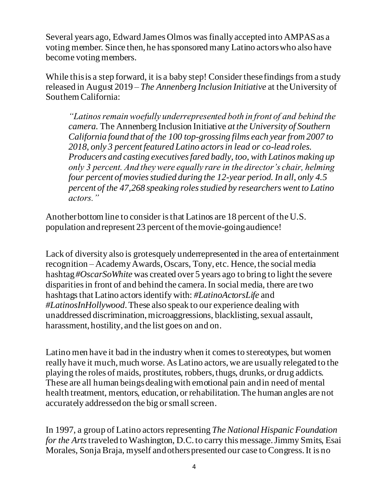Several years ago, Edward James Olmos was finally accepted into AMPAS as a voting member. Since then, he has sponsored many Latino actors who also have become voting members.

While this is a step forward, it is a baby step! Consider these findings from a study released in August 2019 – *The Annenberg Inclusion Initiative* at the University of Southern California:

*"Latinos remain woefully underrepresented both in front of and behind the camera.* The Annenberg Inclusion Initiative *at the University of Southern California found that of the 100 top-grossing films each year from 2007 to 2018, only 3 percent featured Latino actors in lead or co-lead roles. Producers and casting executives fared badly, too, with Latinos making up only 3 percent. And they were equally rare in the director's chair, helming four percent of movies studied during the 12-year period. In all, only 4.5 percent of the 47,268 speaking roles studied by researchers went to Latino actors."*

Another bottom line to consider is that Latinos are 18 percent of the U.S. population and represent 23 percent of the movie-going audience!

Lack of diversity also is grotesquely underrepresented in the area of entertainment recognition – Academy Awards, Oscars, Tony, etc. Hence, the social media hashtag *#OscarSoWhite* was created over 5 years ago to bring to light the severe disparities in front of and behind the camera. In social media, there are two hashtags that Latino actors identify with: *#LatinoActorsLife* and *#LatinosInHollywood*. These also speak to our experience dealing with unaddressed discrimination, microaggressions, blacklisting, sexual assault, harassment, hostility, and the list goes on and on.

Latino men have it bad in the industry when it comes to stereotypes, but women really have it much, much worse. As Latino actors, we are usually relegated to the playing the roles of maids, prostitutes, robbers, thugs, drunks, or drug addicts. These are all human beings dealing with emotional pain and in need of mental health treatment, mentors, education, or rehabilitation. The human angles are not accurately addressed on the big or small screen.

In 1997, a group of Latino actors representing *The National Hispanic Foundation for the Arts* traveled to Washington, D.C. to carry this message. Jimmy Smits, Esai Morales, Sonja Braja, myself and others presented our case to Congress. It is no